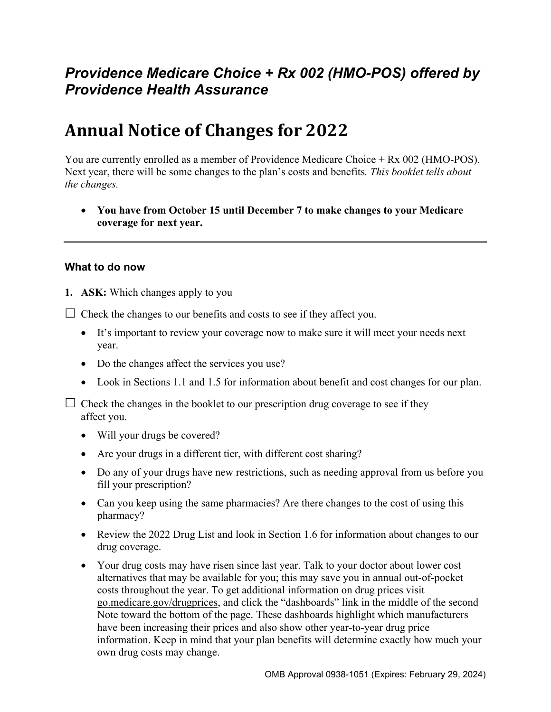# *Providence Medicare Choice + Rx 002 (HMO-POS) offered by Providence Health Assurance*

# **Annual Notice of Changes for 2022**

You are currently enrolled as a member of Providence Medicare Choice + Rx 002 (HMO-POS). Next year, there will be some changes to the plan's costs and benefits*. This booklet tells about the changes.* 

 **You have from October 15 until December 7 to make changes to your Medicare coverage for next year.** 

#### **What to do now**

**1. ASK:** Which changes apply to you

 $\Box$  Check the changes to our benefits and costs to see if they affect you.

- It's important to review your coverage now to make sure it will meet your needs next year.
- Do the changes affect the services you use?
- Look in Sections 1.1 and 1.5 for information about benefit and cost changes for our plan.

 $\Box$  Check the changes in the booklet to our prescription drug coverage to see if they affect you.

- Will your drugs be covered?
- Are your drugs in a different tier, with different cost sharing?
- Do any of your drugs have new restrictions, such as needing approval from us before you fill your prescription?
- Can you keep using the same pharmacies? Are there changes to the cost of using this pharmacy?
- Review the 2022 Drug List and look in Section 1.6 for information about changes to our drug coverage.
- Your drug costs may have risen since last year. Talk to your doctor about lower cost alternatives that may be available for you; this may save you in annual out-of-pocket costs throughout the year. To get additional information on drug prices visit [go.medicare.gov/drugprices,](https://go.medicare.gov/drugprices) and click the "dashboards" link in the middle of the second Note toward the bottom of the page. These dashboards highlight which manufacturers have been increasing their prices and also show other year-to-year drug price information. Keep in mind that your plan benefits will determine exactly how much your own drug costs may change.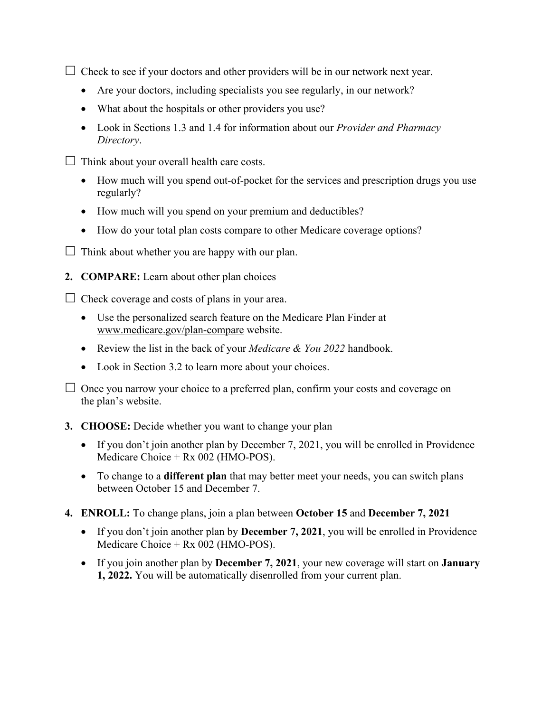$\Box$  Check to see if your doctors and other providers will be in our network next year.

- Are your doctors, including specialists you see regularly, in our network?
- What about the hospitals or other providers you use?
- Look in Sections 1.3 and 1.4 for information about our *Provider and Pharmacy Directory*.
- $\Box$  Think about your overall health care costs.
	- How much will you spend out-of-pocket for the services and prescription drugs you use regularly?
	- How much will you spend on your premium and deductibles?
	- How do your total plan costs compare to other Medicare coverage options?
- $\Box$  Think about whether you are happy with our plan.
- **2. COMPARE:** Learn about other plan choices

 $\Box$  Check coverage and costs of plans in your area.

- Use the personalized search feature on the Medicare Plan Finder at [www.medicare.gov/plan-compare](http://www.medicare.gov/plan-compare) website.
- Review the list in the back of your *Medicare & You 2022* handbook.
- Look in Section 3.2 to learn more about your choices.

 $\Box$  Once you narrow your choice to a preferred plan, confirm your costs and coverage on the plan's website.

#### **3. CHOOSE:** Decide whether you want to change your plan

- If you don't join another plan by December 7, 2021, you will be enrolled in Providence Medicare Choice + Rx 002 (HMO-POS).
- To change to a **different plan** that may better meet your needs, you can switch plans between October 15 and December 7.
- **4. ENROLL:** To change plans, join a plan between **October 15** and **December 7, 2021** 
	- If you don't join another plan by **December 7, 2021**, you will be enrolled in Providence Medicare Choice + Rx 002 (HMO-POS).
	- If you join another plan by **December 7, 2021**, your new coverage will start on **January 1, 2022.** You will be automatically disenrolled from your current plan.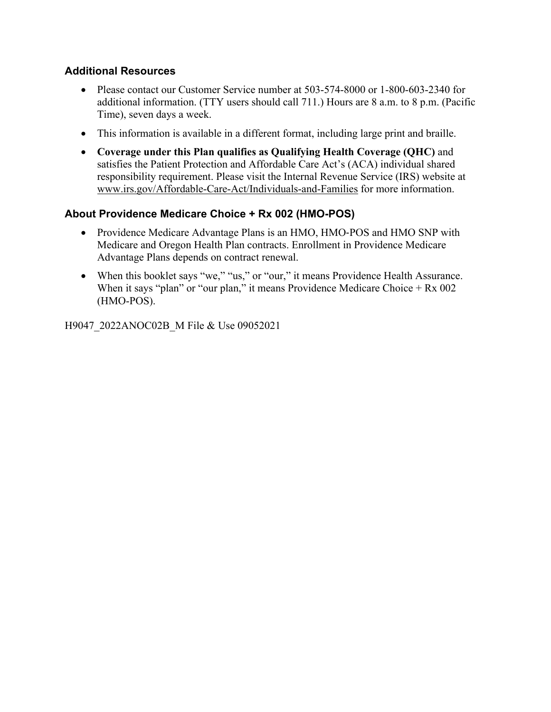### **Additional Resources**

- Please contact our Customer Service number at 503-574-8000 or 1-800-603-2340 for additional information. (TTY users should call 711.) Hours are 8 a.m. to 8 p.m. (Pacific Time), seven days a week.
- This information is available in a different format, including large print and braille.
- **Coverage under this Plan qualifies as Qualifying Health Coverage (QHC)** and satisfies the Patient Protection and Affordable Care Act's (ACA) individual shared responsibility requirement. Please visit the Internal Revenue Service (IRS) website at [www.irs.gov/Affordable-Care-Act/Individuals-and-Families](http://www.irs.gov/Affordable-Care-Act/Individuals-and-Families) for more information.

### **About Providence Medicare Choice + Rx 002 (HMO-POS)**

- Providence Medicare Advantage Plans is an HMO, HMO-POS and HMO SNP with Medicare and Oregon Health Plan contracts. Enrollment in Providence Medicare Advantage Plans depends on contract renewal.
- When this booklet says "we," "us," or "our," it means Providence Health Assurance. When it says "plan" or "our plan," it means Providence Medicare Choice  $+ Rx 002$ (HMO-POS).

H9047\_2022ANOC02B\_M File & Use 09052021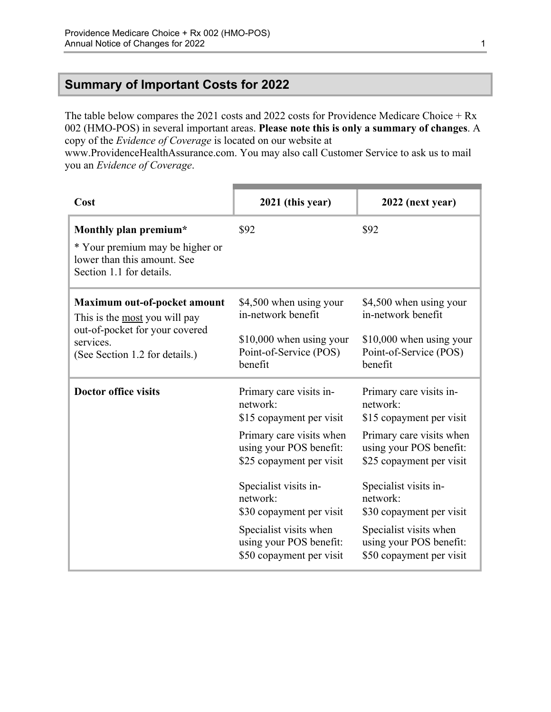### <span id="page-3-0"></span>**Summary of Important Costs for 2022**

The table below compares the 2021 costs and 2022 costs for Providence Medicare Choice + Rx 002 (HMO-POS) in several important areas. **Please note this is only a summary of changes**. A copy of the *Evidence of Coverage* is located on our website at

[www.ProvidenceHealthAssurance.com.](http://www.ProvidenceHealthAssurance.com) You may also call Customer Service to ask us to mail you an *Evidence of Coverage*.

| Cost                                                                                                                                           | 2021 (this year)                                                                                                                                                                                                                                                                                     | 2022 (next year)                                                                                                                                                                                                                                                                                     |
|------------------------------------------------------------------------------------------------------------------------------------------------|------------------------------------------------------------------------------------------------------------------------------------------------------------------------------------------------------------------------------------------------------------------------------------------------------|------------------------------------------------------------------------------------------------------------------------------------------------------------------------------------------------------------------------------------------------------------------------------------------------------|
| Monthly plan premium*<br>* Your premium may be higher or<br>lower than this amount. See<br>Section 1.1 for details.                            | \$92                                                                                                                                                                                                                                                                                                 | \$92                                                                                                                                                                                                                                                                                                 |
| Maximum out-of-pocket amount<br>This is the most you will pay<br>out-of-pocket for your covered<br>services.<br>(See Section 1.2 for details.) | \$4,500 when using your<br>in-network benefit<br>$$10,000$ when using your<br>Point-of-Service (POS)<br>benefit                                                                                                                                                                                      | \$4,500 when using your<br>in-network benefit<br>\$10,000 when using your<br>Point-of-Service (POS)<br>benefit                                                                                                                                                                                       |
| <b>Doctor office visits</b>                                                                                                                    | Primary care visits in-<br>network:<br>\$15 copayment per visit<br>Primary care visits when<br>using your POS benefit:<br>\$25 copayment per visit<br>Specialist visits in-<br>network:<br>\$30 copayment per visit<br>Specialist visits when<br>using your POS benefit:<br>\$50 copayment per visit | Primary care visits in-<br>network:<br>\$15 copayment per visit<br>Primary care visits when<br>using your POS benefit:<br>\$25 copayment per visit<br>Specialist visits in-<br>network:<br>\$30 copayment per visit<br>Specialist visits when<br>using your POS benefit:<br>\$50 copayment per visit |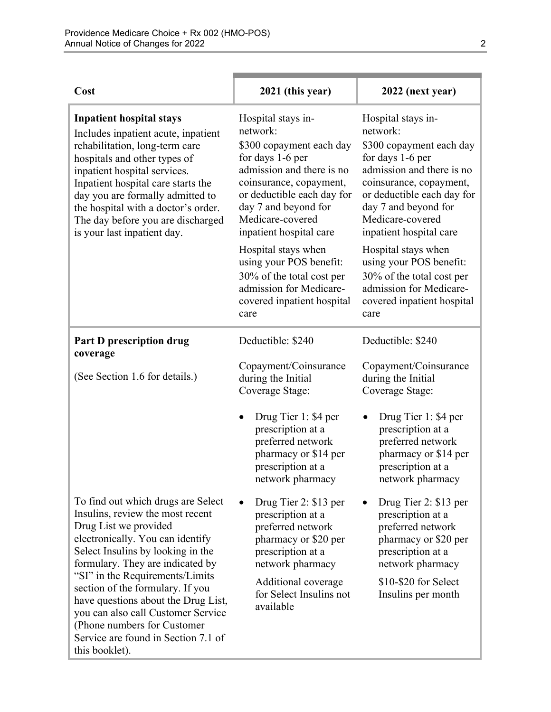| Cost                                                                                                                                                                                                                                                                                                                                                                                                                                                     | 2021 (this year)                                                                                                                                                                                                                            | 2022 (next year)                                                                                                                                                                                                                            |
|----------------------------------------------------------------------------------------------------------------------------------------------------------------------------------------------------------------------------------------------------------------------------------------------------------------------------------------------------------------------------------------------------------------------------------------------------------|---------------------------------------------------------------------------------------------------------------------------------------------------------------------------------------------------------------------------------------------|---------------------------------------------------------------------------------------------------------------------------------------------------------------------------------------------------------------------------------------------|
| <b>Inpatient hospital stays</b><br>Includes inpatient acute, inpatient<br>rehabilitation, long-term care<br>hospitals and other types of<br>inpatient hospital services.<br>Inpatient hospital care starts the<br>day you are formally admitted to<br>the hospital with a doctor's order.<br>The day before you are discharged<br>is your last inpatient day.                                                                                            | Hospital stays in-<br>network:<br>\$300 copayment each day<br>for days 1-6 per<br>admission and there is no<br>coinsurance, copayment,<br>or deductible each day for<br>day 7 and beyond for<br>Medicare-covered<br>inpatient hospital care | Hospital stays in-<br>network:<br>\$300 copayment each day<br>for days 1-6 per<br>admission and there is no<br>coinsurance, copayment,<br>or deductible each day for<br>day 7 and beyond for<br>Medicare-covered<br>inpatient hospital care |
|                                                                                                                                                                                                                                                                                                                                                                                                                                                          | Hospital stays when<br>using your POS benefit:<br>30% of the total cost per<br>admission for Medicare-<br>covered inpatient hospital<br>care                                                                                                | Hospital stays when<br>using your POS benefit:<br>30% of the total cost per<br>admission for Medicare-<br>covered inpatient hospital<br>care                                                                                                |
| <b>Part D prescription drug</b><br>coverage                                                                                                                                                                                                                                                                                                                                                                                                              | Deductible: \$240                                                                                                                                                                                                                           | Deductible: \$240                                                                                                                                                                                                                           |
| (See Section 1.6 for details.)                                                                                                                                                                                                                                                                                                                                                                                                                           | Copayment/Coinsurance<br>during the Initial<br>Coverage Stage:                                                                                                                                                                              | Copayment/Coinsurance<br>during the Initial<br>Coverage Stage:                                                                                                                                                                              |
|                                                                                                                                                                                                                                                                                                                                                                                                                                                          | Drug Tier 1: \$4 per<br>prescription at a<br>preferred network<br>pharmacy or \$14 per<br>prescription at a<br>network pharmacy                                                                                                             | Drug Tier 1: \$4 per<br>prescription at a<br>preferred network<br>pharmacy or \$14 per<br>prescription at a<br>network pharmacy                                                                                                             |
| To find out which drugs are Select<br>Insulins, review the most recent<br>Drug List we provided<br>electronically. You can identify<br>Select Insulins by looking in the<br>formulary. They are indicated by<br>"SI" in the Requirements/Limits<br>section of the formulary. If you<br>have questions about the Drug List,<br>you can also call Customer Service<br>(Phone numbers for Customer<br>Service are found in Section 7.1 of<br>this booklet). | Drug Tier 2: \$13 per<br>prescription at a<br>preferred network<br>pharmacy or \$20 per<br>prescription at a<br>network pharmacy<br>Additional coverage<br>for Select Insulins not<br>available                                             | Drug Tier 2: \$13 per<br>prescription at a<br>preferred network<br>pharmacy or \$20 per<br>prescription at a<br>network pharmacy<br>\$10-\$20 for Select<br>Insulins per month                                                              |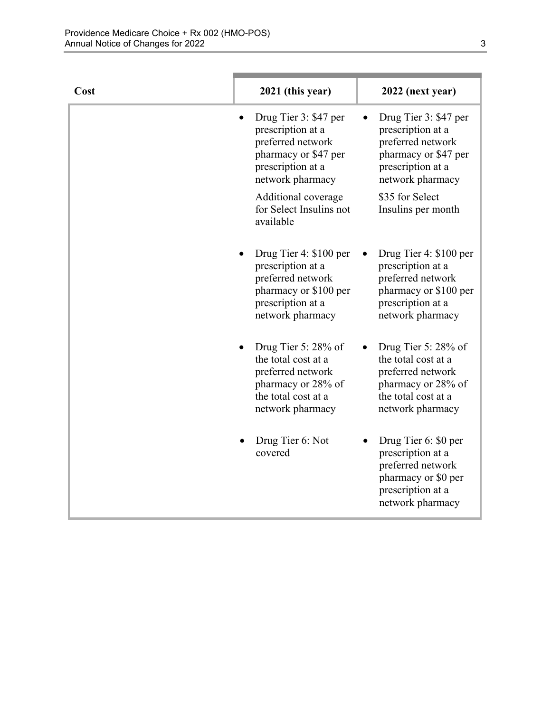| Cost | 2021 (this year)                                                                                                                   | 2022 (next year)                                                                                                                                    |
|------|------------------------------------------------------------------------------------------------------------------------------------|-----------------------------------------------------------------------------------------------------------------------------------------------------|
|      | Drug Tier 3: \$47 per<br>prescription at a<br>preferred network<br>pharmacy or \$47 per<br>prescription at a<br>network pharmacy   | Drug Tier 3: \$47 per<br>prescription at a<br>preferred network<br>pharmacy or \$47 per<br>prescription at a<br>network pharmacy<br>\$35 for Select |
|      | Additional coverage<br>for Select Insulins not<br>available                                                                        | Insulins per month                                                                                                                                  |
|      | Drug Tier 4: \$100 per<br>prescription at a<br>preferred network<br>pharmacy or \$100 per<br>prescription at a<br>network pharmacy | Drug Tier 4: \$100 per<br>prescription at a<br>preferred network<br>pharmacy or \$100 per<br>prescription at a<br>network pharmacy                  |
|      | Drug Tier 5: 28% of<br>the total cost at a<br>preferred network<br>pharmacy or 28% of<br>the total cost at a<br>network pharmacy   | Drug Tier 5: 28% of<br>the total cost at a<br>preferred network<br>pharmacy or 28% of<br>the total cost at a<br>network pharmacy                    |
|      | Drug Tier 6: Not<br>covered                                                                                                        | Drug Tier 6: \$0 per<br>prescription at a<br>preferred network<br>pharmacy or \$0 per<br>prescription at a<br>network pharmacy                      |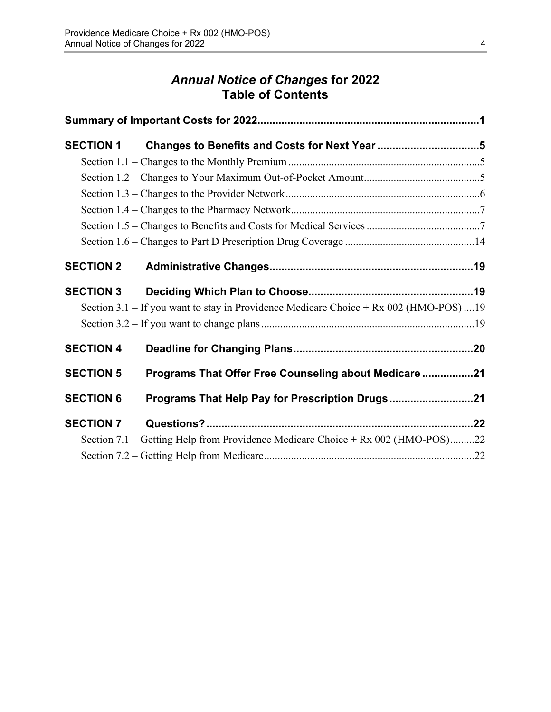# *Annual Notice of Changes* **for 2022 Table of Contents**

| <b>SECTION 1</b> | Changes to Benefits and Costs for Next Year 5                                         |  |
|------------------|---------------------------------------------------------------------------------------|--|
|                  |                                                                                       |  |
|                  |                                                                                       |  |
|                  |                                                                                       |  |
|                  |                                                                                       |  |
|                  |                                                                                       |  |
|                  |                                                                                       |  |
| <b>SECTION 2</b> |                                                                                       |  |
| <b>SECTION 3</b> |                                                                                       |  |
|                  | Section 3.1 – If you want to stay in Providence Medicare Choice + Rx 002 (HMO-POS) 19 |  |
|                  |                                                                                       |  |
| <b>SECTION 4</b> |                                                                                       |  |
| <b>SECTION 5</b> | Programs That Offer Free Counseling about Medicare 21                                 |  |
| <b>SECTION 6</b> | Programs That Help Pay for Prescription Drugs21                                       |  |
| <b>SECTION 7</b> |                                                                                       |  |
|                  | Section 7.1 – Getting Help from Providence Medicare Choice + Rx 002 (HMO-POS)22       |  |
|                  |                                                                                       |  |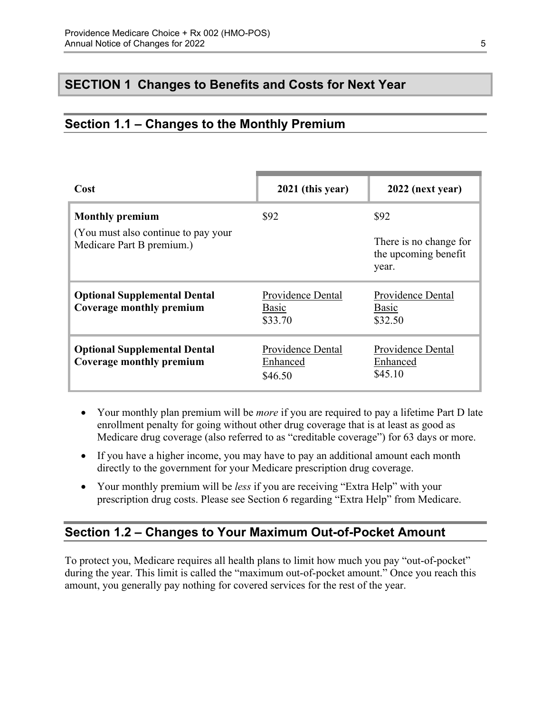### <span id="page-7-0"></span>**SECTION 1 Changes to Benefits and Costs for Next Year**

### <span id="page-7-1"></span>**Section 1.1 – Changes to the Monthly Premium**

| Cost                                                              | 2021 (this year)                         | 2022 (next year)                                        |
|-------------------------------------------------------------------|------------------------------------------|---------------------------------------------------------|
| <b>Monthly premium</b>                                            | \$92                                     | \$92                                                    |
| (You must also continue to pay your)<br>Medicare Part B premium.) |                                          | There is no change for<br>the upcoming benefit<br>year. |
| <b>Optional Supplemental Dental</b><br>Coverage monthly premium   | Providence Dental<br>Basic<br>\$33.70    | Providence Dental<br>Basic<br>\$32.50                   |
| <b>Optional Supplemental Dental</b><br>Coverage monthly premium   | Providence Dental<br>Enhanced<br>\$46.50 | Providence Dental<br>Enhanced<br>\$45.10                |

- Your monthly plan premium will be *more* if you are required to pay a lifetime Part D late enrollment penalty for going without other drug coverage that is at least as good as Medicare drug coverage (also referred to as "creditable coverage") for 63 days or more.
- If you have a higher income, you may have to pay an additional amount each month directly to the government for your Medicare prescription drug coverage.
- Your monthly premium will be *less* if you are receiving "Extra Help" with your prescription drug costs. Please see Section 6 regarding "Extra Help" from Medicare.

# <span id="page-7-2"></span>**Section 1.2 – Changes to Your Maximum Out-of-Pocket Amount**

 amount, you generally pay nothing for covered services for the rest of the year. To protect you, Medicare requires all health plans to limit how much you pay "out-of-pocket" during the year. This limit is called the "maximum out-of-pocket amount." Once you reach this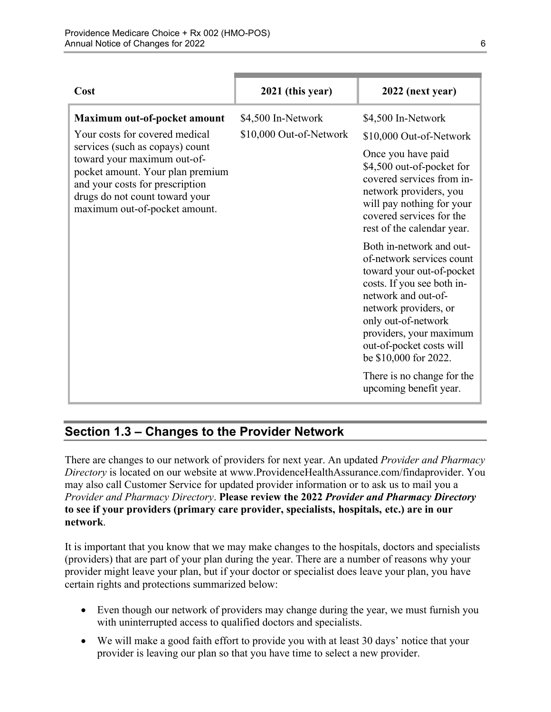| Cost                                                                                                                                                                                                                                                                       | 2021 (this year)                              | 2022 (next year)                                                                                                                                                                                                                                                                                                                |
|----------------------------------------------------------------------------------------------------------------------------------------------------------------------------------------------------------------------------------------------------------------------------|-----------------------------------------------|---------------------------------------------------------------------------------------------------------------------------------------------------------------------------------------------------------------------------------------------------------------------------------------------------------------------------------|
| Maximum out-of-pocket amount<br>Your costs for covered medical<br>services (such as copays) count<br>toward your maximum out-of-<br>pocket amount. Your plan premium<br>and your costs for prescription<br>drugs do not count toward your<br>maximum out-of-pocket amount. | \$4,500 In-Network<br>\$10,000 Out-of-Network | \$4,500 In-Network<br>\$10,000 Out-of-Network<br>Once you have paid<br>\$4,500 out-of-pocket for<br>covered services from in-<br>network providers, you<br>will pay nothing for your<br>covered services for the<br>rest of the calendar year.                                                                                  |
|                                                                                                                                                                                                                                                                            |                                               | Both in-network and out-<br>of-network services count<br>toward your out-of-pocket<br>costs. If you see both in-<br>network and out-of-<br>network providers, or<br>only out-of-network<br>providers, your maximum<br>out-of-pocket costs will<br>be \$10,000 for 2022.<br>There is no change for the<br>upcoming benefit year. |

# <span id="page-8-0"></span>**Section 1.3 – Changes to the Provider Network**

 **to see if your providers (primary care provider, specialists, hospitals, etc.) are in our**  There are changes to our network of providers for next year. An updated *Provider and Pharmacy Directory* is located on our website at [www.ProvidenceHealthAssurance.com/findaprovider.](http://www.ProvidenceHealthAssurance.com/findaprovider) You may also call Customer Service for updated provider information or to ask us to mail you a *Provider and Pharmacy Directory*. **Please review the 2022** *Provider and Pharmacy Directory*  **network**.

It is important that you know that we may make changes to the hospitals, doctors and specialists (providers) that are part of your plan during the year. There are a number of reasons why your provider might leave your plan, but if your doctor or specialist does leave your plan, you have certain rights and protections summarized below:

- Even though our network of providers may change during the year, we must furnish you with uninterrupted access to qualified doctors and specialists.
- We will make a good faith effort to provide you with at least 30 days' notice that your provider is leaving our plan so that you have time to select a new provider.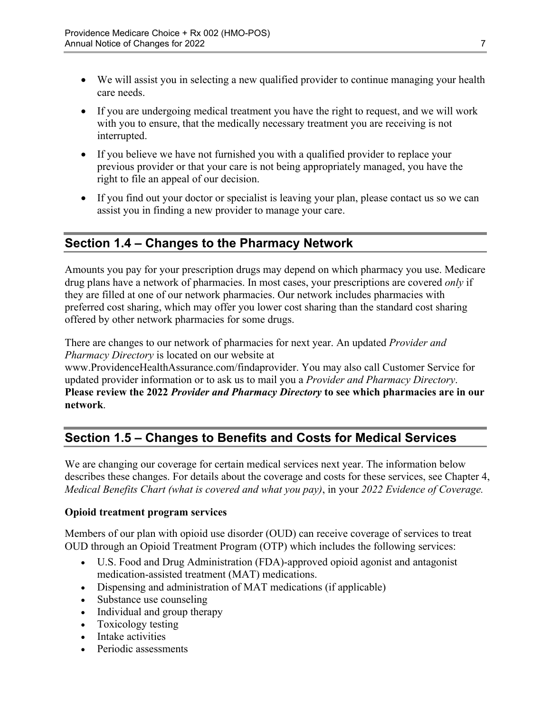- We will assist you in selecting a new qualified provider to continue managing your health care needs.
- If you are undergoing medical treatment you have the right to request, and we will work with you to ensure, that the medically necessary treatment you are receiving is not interrupted.
- If you believe we have not furnished you with a qualified provider to replace your previous provider or that your care is not being appropriately managed, you have the right to file an appeal of our decision.
- If you find out your doctor or specialist is leaving your plan, please contact us so we can assist you in finding a new provider to manage your care.

# <span id="page-9-0"></span>**Section 1.4 – Changes to the Pharmacy Network**

Amounts you pay for your prescription drugs may depend on which pharmacy you use. Medicare drug plans have a network of pharmacies. In most cases, your prescriptions are covered *only* if they are filled at one of our network pharmacies. Our network includes pharmacies with preferred cost sharing, which may offer you lower cost sharing than the standard cost sharing offered by other network pharmacies for some drugs.

There are changes to our network of pharmacies for next year. An updated *Provider and Pharmacy Directory* is located on our website at

[www.ProvidenceHealthAssurance.com/findaprovider](http://www.ProvidenceHealthAssurance.com/findaprovider). You may also call Customer Service for updated provider information or to ask us to mail you a *Provider and Pharmacy Directory*. **Please review the 2022** *Provider and Pharmacy Directory* **to see which pharmacies are in our network**.

# <span id="page-9-1"></span>**Section 1.5 – Changes to Benefits and Costs for Medical Services**

We are changing our coverage for certain medical services next year. The information below describes these changes. For details about the coverage and costs for these services, see Chapter 4, *Medical Benefits Chart (what is covered and what you pay)*, in your *2022 Evidence of Coverage.* 

#### **Opioid treatment program services**

Members of our plan with opioid use disorder (OUD) can receive coverage of services to treat OUD through an Opioid Treatment Program (OTP) which includes the following services:

- U.S. Food and Drug Administration (FDA)-approved opioid agonist and antagonist medication-assisted treatment (MAT) medications.
- Dispensing and administration of MAT medications (if applicable)
- Substance use counseling
- Individual and group therapy
- Toxicology testing
- Intake activities
- Periodic assessments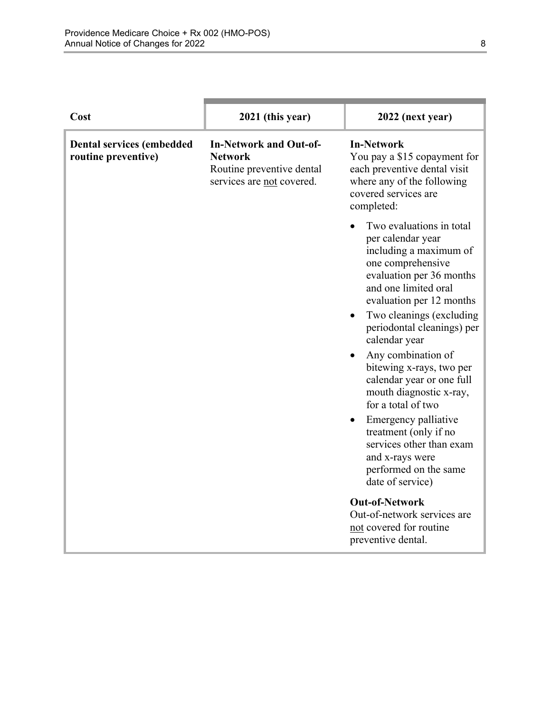| Cost                                                    | 2021 (this year)                                                                                          | 2022 (next year)                                                                                                                                                                                                                                                                                                                                                                                                                                                                                                                                                                                                        |
|---------------------------------------------------------|-----------------------------------------------------------------------------------------------------------|-------------------------------------------------------------------------------------------------------------------------------------------------------------------------------------------------------------------------------------------------------------------------------------------------------------------------------------------------------------------------------------------------------------------------------------------------------------------------------------------------------------------------------------------------------------------------------------------------------------------------|
| <b>Dental services (embedded</b><br>routine preventive) | <b>In-Network and Out-of-</b><br><b>Network</b><br>Routine preventive dental<br>services are not covered. | <b>In-Network</b><br>You pay a \$15 copayment for<br>each preventive dental visit<br>where any of the following<br>covered services are<br>completed:                                                                                                                                                                                                                                                                                                                                                                                                                                                                   |
|                                                         |                                                                                                           | Two evaluations in total<br>per calendar year<br>including a maximum of<br>one comprehensive<br>evaluation per 36 months<br>and one limited oral<br>evaluation per 12 months<br>Two cleanings (excluding<br>periodontal cleanings) per<br>calendar year<br>Any combination of<br>bitewing x-rays, two per<br>calendar year or one full<br>mouth diagnostic x-ray,<br>for a total of two<br>Emergency palliative<br>treatment (only if no<br>services other than exam<br>and x-rays were<br>performed on the same<br>date of service)<br><b>Out-of-Network</b><br>Out-of-network services are<br>not covered for routine |
|                                                         |                                                                                                           | preventive dental.                                                                                                                                                                                                                                                                                                                                                                                                                                                                                                                                                                                                      |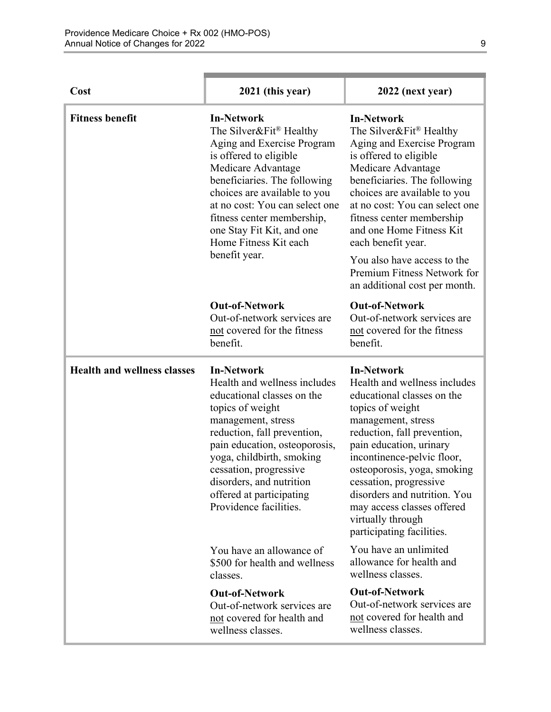| Cost                               | 2021 (this year)                                                                                                                                                                                                                                                                                                                   | 2022 (next year)                                                                                                                                                                                                                                                                                                                                                                                           |
|------------------------------------|------------------------------------------------------------------------------------------------------------------------------------------------------------------------------------------------------------------------------------------------------------------------------------------------------------------------------------|------------------------------------------------------------------------------------------------------------------------------------------------------------------------------------------------------------------------------------------------------------------------------------------------------------------------------------------------------------------------------------------------------------|
| <b>Fitness benefit</b>             | <b>In-Network</b><br>The Silver&Fit® Healthy<br>Aging and Exercise Program<br>is offered to eligible<br>Medicare Advantage<br>beneficiaries. The following<br>choices are available to you<br>at no cost: You can select one<br>fitness center membership,<br>one Stay Fit Kit, and one<br>Home Fitness Kit each<br>benefit year.  | <b>In-Network</b><br>The Silver&Fit® Healthy<br>Aging and Exercise Program<br>is offered to eligible<br>Medicare Advantage<br>beneficiaries. The following<br>choices are available to you<br>at no cost: You can select one<br>fitness center membership<br>and one Home Fitness Kit<br>each benefit year.<br>You also have access to the<br>Premium Fitness Network for<br>an additional cost per month. |
|                                    | <b>Out-of-Network</b><br>Out-of-network services are<br>not covered for the fitness<br>benefit.                                                                                                                                                                                                                                    | <b>Out-of-Network</b><br>Out-of-network services are<br>not covered for the fitness<br>benefit.                                                                                                                                                                                                                                                                                                            |
| <b>Health and wellness classes</b> | <b>In-Network</b><br>Health and wellness includes<br>educational classes on the<br>topics of weight<br>management, stress<br>reduction, fall prevention,<br>pain education, osteoporosis,<br>yoga, childbirth, smoking<br>cessation, progressive<br>disorders, and nutrition<br>offered at participating<br>Providence facilities. | <b>In-Network</b><br>Health and wellness includes<br>educational classes on the<br>topics of weight<br>management, stress<br>reduction, fall prevention,<br>pain education, urinary<br>incontinence-pelvic floor,<br>osteoporosis, yoga, smoking<br>cessation, progressive<br>disorders and nutrition. You<br>may access classes offered<br>virtually through<br>participating facilities.                 |
|                                    | You have an allowance of<br>\$500 for health and wellness<br>classes.                                                                                                                                                                                                                                                              | You have an unlimited<br>allowance for health and<br>wellness classes.                                                                                                                                                                                                                                                                                                                                     |
|                                    | <b>Out-of-Network</b><br>Out-of-network services are<br>not covered for health and<br>wellness classes.                                                                                                                                                                                                                            | <b>Out-of-Network</b><br>Out-of-network services are<br>not covered for health and<br>wellness classes.                                                                                                                                                                                                                                                                                                    |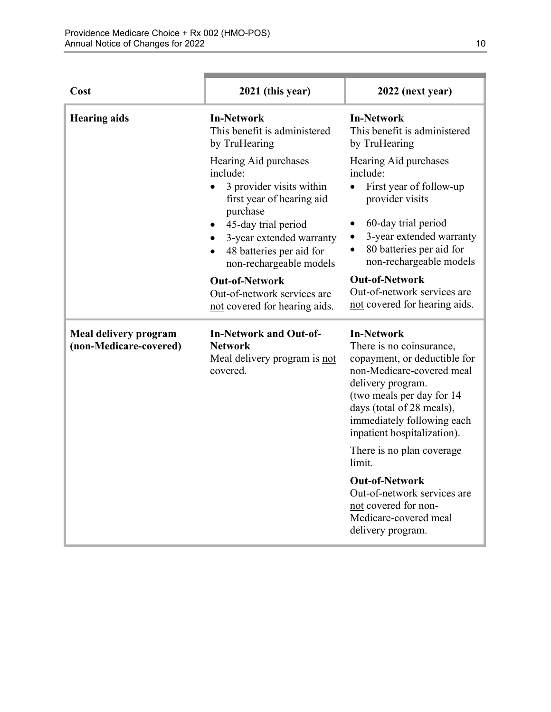| Cost                                            | 2021 (this year)                                                                                                                                                                                                                           | 2022 (next year)                                                                                                                                                                                                                                       |
|-------------------------------------------------|--------------------------------------------------------------------------------------------------------------------------------------------------------------------------------------------------------------------------------------------|--------------------------------------------------------------------------------------------------------------------------------------------------------------------------------------------------------------------------------------------------------|
| <b>Hearing aids</b>                             | <b>In-Network</b><br>This benefit is administered<br>by TruHearing                                                                                                                                                                         | <b>In-Network</b><br>This benefit is administered<br>by TruHearing                                                                                                                                                                                     |
|                                                 | Hearing Aid purchases<br>include:<br>3 provider visits within<br>$\bullet$<br>first year of hearing aid<br>purchase<br>45-day trial period<br>3-year extended warranty<br>48 batteries per aid for<br>$\bullet$<br>non-rechargeable models | Hearing Aid purchases<br>include:<br>First year of follow-up<br>$\bullet$<br>provider visits<br>60-day trial period<br>$\bullet$<br>3-year extended warranty<br>$\bullet$<br>80 batteries per aid for<br>$\bullet$<br>non-rechargeable models          |
|                                                 | <b>Out-of-Network</b><br>Out-of-network services are<br>not covered for hearing aids.                                                                                                                                                      | <b>Out-of-Network</b><br>Out-of-network services are<br>not covered for hearing aids.                                                                                                                                                                  |
| Meal delivery program<br>(non-Medicare-covered) | <b>In-Network and Out-of-</b><br><b>Network</b><br>Meal delivery program is not<br>covered.                                                                                                                                                | <b>In-Network</b><br>There is no coinsurance,<br>copayment, or deductible for<br>non-Medicare-covered meal<br>delivery program.<br>(two meals per day for 14<br>days (total of 28 meals),<br>immediately following each<br>inpatient hospitalization). |
|                                                 |                                                                                                                                                                                                                                            | There is no plan coverage.<br>limit.                                                                                                                                                                                                                   |
|                                                 |                                                                                                                                                                                                                                            | <b>Out-of-Network</b><br>Out-of-network services are<br>not covered for non-<br>Medicare-covered meal<br>delivery program.                                                                                                                             |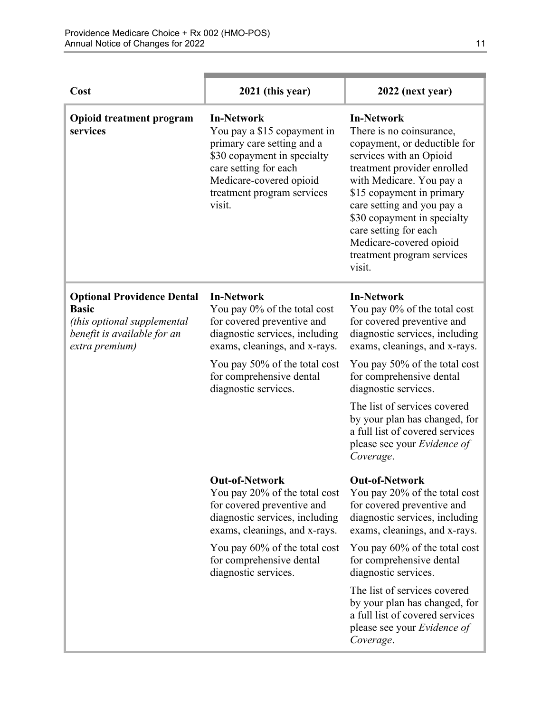| Cost                                                                                                                              | 2021 (this year)                                                                                                                                                                                                                        | 2022 (next year)                                                                                                                                                                                                                                                                                                                                                                        |
|-----------------------------------------------------------------------------------------------------------------------------------|-----------------------------------------------------------------------------------------------------------------------------------------------------------------------------------------------------------------------------------------|-----------------------------------------------------------------------------------------------------------------------------------------------------------------------------------------------------------------------------------------------------------------------------------------------------------------------------------------------------------------------------------------|
| <b>Opioid treatment program</b><br>services                                                                                       | <b>In-Network</b><br>You pay a \$15 copayment in<br>primary care setting and a<br>\$30 copayment in specialty<br>care setting for each<br>Medicare-covered opioid<br>treatment program services<br>visit.                               | <b>In-Network</b><br>There is no coinsurance,<br>copayment, or deductible for<br>services with an Opioid<br>treatment provider enrolled<br>with Medicare. You pay a<br>\$15 copayment in primary<br>care setting and you pay a<br>\$30 copayment in specialty<br>care setting for each<br>Medicare-covered opioid<br>treatment program services<br>visit.                               |
| <b>Optional Providence Dental</b><br><b>Basic</b><br>(this optional supplemental<br>benefit is available for an<br>extra premium) | <b>In-Network</b><br>You pay 0% of the total cost<br>for covered preventive and<br>diagnostic services, including<br>exams, cleanings, and x-rays.<br>You pay 50% of the total cost<br>for comprehensive dental<br>diagnostic services. | <b>In-Network</b><br>You pay 0% of the total cost<br>for covered preventive and<br>diagnostic services, including<br>exams, cleanings, and x-rays.<br>You pay 50% of the total cost<br>for comprehensive dental<br>diagnostic services.<br>The list of services covered<br>by your plan has changed, for<br>a full list of covered services<br>please see your Evidence of<br>Coverage. |
|                                                                                                                                   | <b>Out-of-Network</b><br>You pay 20% of the total cost<br>for covered preventive and<br>diagnostic services, including<br>exams, cleanings, and x-rays.                                                                                 | <b>Out-of-Network</b><br>You pay 20% of the total cost<br>for covered preventive and<br>diagnostic services, including<br>exams, cleanings, and x-rays.                                                                                                                                                                                                                                 |
|                                                                                                                                   | You pay 60% of the total cost<br>for comprehensive dental<br>diagnostic services.                                                                                                                                                       | You pay 60% of the total cost<br>for comprehensive dental<br>diagnostic services.                                                                                                                                                                                                                                                                                                       |
|                                                                                                                                   |                                                                                                                                                                                                                                         | The list of services covered<br>by your plan has changed, for<br>a full list of covered services<br>please see your Evidence of<br>Coverage.                                                                                                                                                                                                                                            |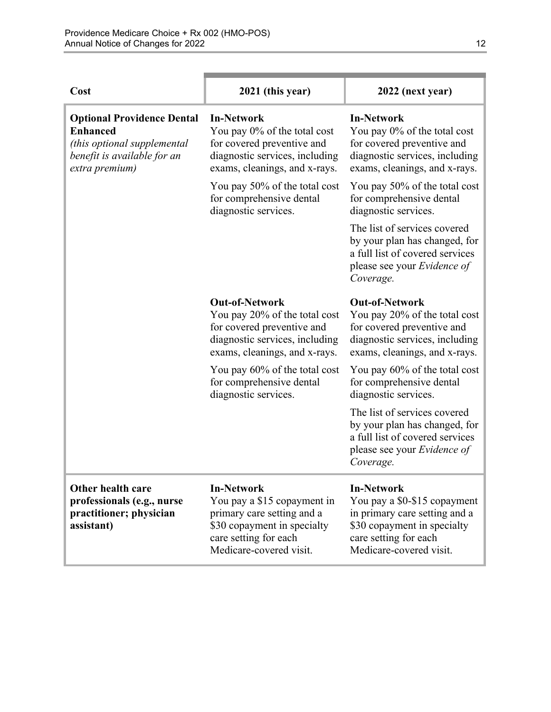| Cost                                                                                                                                 | 2021 (this year)                                                                                                                                                  | 2022 (next year)                                                                                                                                                      |
|--------------------------------------------------------------------------------------------------------------------------------------|-------------------------------------------------------------------------------------------------------------------------------------------------------------------|-----------------------------------------------------------------------------------------------------------------------------------------------------------------------|
| <b>Optional Providence Dental</b><br><b>Enhanced</b><br>(this optional supplemental<br>benefit is available for an<br>extra premium) | <b>In-Network</b><br>You pay 0% of the total cost<br>for covered preventive and<br>diagnostic services, including<br>exams, cleanings, and x-rays.                | <b>In-Network</b><br>You pay 0% of the total cost<br>for covered preventive and<br>diagnostic services, including<br>exams, cleanings, and x-rays.                    |
|                                                                                                                                      | You pay 50% of the total cost<br>for comprehensive dental<br>diagnostic services.                                                                                 | You pay 50% of the total cost<br>for comprehensive dental<br>diagnostic services.                                                                                     |
|                                                                                                                                      |                                                                                                                                                                   | The list of services covered<br>by your plan has changed, for<br>a full list of covered services<br>please see your Evidence of<br>Coverage.                          |
|                                                                                                                                      | <b>Out-of-Network</b><br>You pay 20% of the total cost<br>for covered preventive and<br>diagnostic services, including<br>exams, cleanings, and x-rays.           | <b>Out-of-Network</b><br>You pay 20% of the total cost<br>for covered preventive and<br>diagnostic services, including<br>exams, cleanings, and x-rays.               |
|                                                                                                                                      | You pay 60% of the total cost<br>for comprehensive dental<br>diagnostic services.                                                                                 | You pay 60% of the total cost<br>for comprehensive dental<br>diagnostic services.                                                                                     |
|                                                                                                                                      |                                                                                                                                                                   | The list of services covered<br>by your plan has changed, for<br>a full list of covered services<br>please see your <i>Evidence of</i><br>Coverage.                   |
| Other health care<br>professionals (e.g., nurse<br>practitioner; physician<br>assistant)                                             | <b>In-Network</b><br>You pay a \$15 copayment in<br>primary care setting and a<br>\$30 copayment in specialty<br>care setting for each<br>Medicare-covered visit. | <b>In-Network</b><br>You pay a \$0-\$15 copayment<br>in primary care setting and a<br>\$30 copayment in specialty<br>care setting for each<br>Medicare-covered visit. |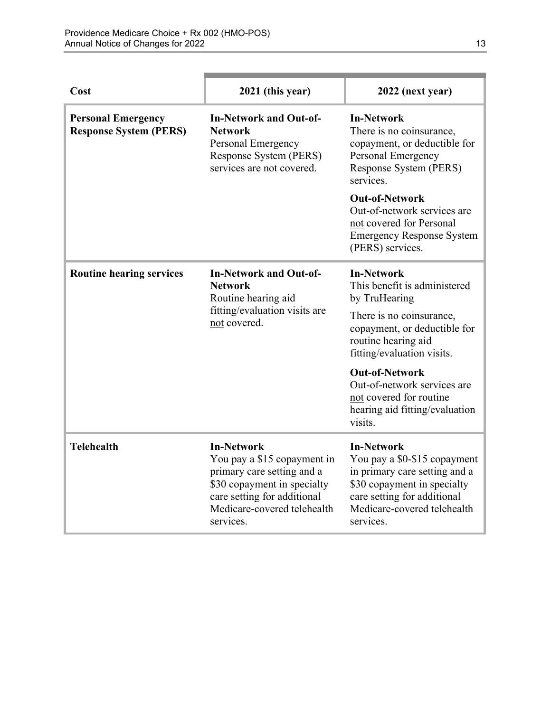| Cost                                                       | 2021 (this year)                                                                                                                                                                         | 2022 (next year)                                                                                                                                                                             |
|------------------------------------------------------------|------------------------------------------------------------------------------------------------------------------------------------------------------------------------------------------|----------------------------------------------------------------------------------------------------------------------------------------------------------------------------------------------|
| <b>Personal Emergency</b><br><b>Response System (PERS)</b> | <b>In-Network and Out-of-</b><br><b>Network</b><br>Personal Emergency<br>Response System (PERS)<br>services are not covered.                                                             | <b>In-Network</b><br>There is no coinsurance,<br>copayment, or deductible for<br>Personal Emergency<br>Response System (PERS)<br>services.                                                   |
|                                                            |                                                                                                                                                                                          | <b>Out-of-Network</b><br>Out-of-network services are<br>not covered for Personal<br><b>Emergency Response System</b><br>(PERS) services.                                                     |
| <b>Routine hearing services</b>                            | <b>In-Network and Out-of-</b><br><b>Network</b><br>Routine hearing aid<br>fitting/evaluation visits are<br>not covered.                                                                  | <b>In-Network</b><br>This benefit is administered<br>by TruHearing                                                                                                                           |
|                                                            |                                                                                                                                                                                          | There is no coinsurance,<br>copayment, or deductible for<br>routine hearing aid<br>fitting/evaluation visits.                                                                                |
|                                                            |                                                                                                                                                                                          | <b>Out-of-Network</b><br>Out-of-network services are<br>not covered for routine<br>hearing aid fitting/evaluation<br>visits.                                                                 |
| <b>Telehealth</b>                                          | <b>In-Network</b><br>You pay a \$15 copayment in<br>primary care setting and a<br>\$30 copayment in specialty<br>care setting for additional<br>Medicare-covered telehealth<br>services. | <b>In-Network</b><br>You pay a \$0-\$15 copayment<br>in primary care setting and a<br>\$30 copayment in specialty<br>care setting for additional<br>Medicare-covered telehealth<br>services. |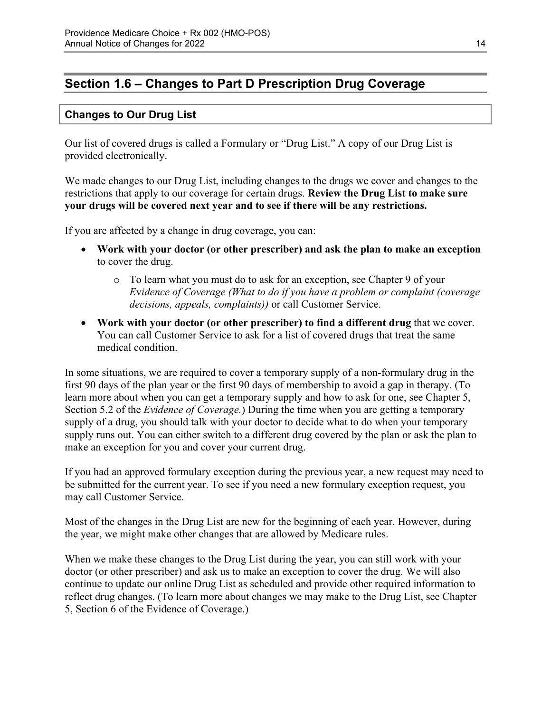# <span id="page-16-0"></span>**Section 1.6 – Changes to Part D Prescription Drug Coverage**

### **Changes to Our Drug List**

Our list of covered drugs is called a Formulary or "Drug List." A copy of our Drug List is provided electronically.

We made changes to our Drug List, including changes to the drugs we cover and changes to the restrictions that apply to our coverage for certain drugs. **Review the Drug List to make sure your drugs will be covered next year and to see if there will be any restrictions.** 

If you are affected by a change in drug coverage, you can:

- **Work with your doctor (or other prescriber) and ask the plan to make an exception**  to cover the drug.
	- o To learn what you must do to ask for an exception, see Chapter 9 of your *E*v*idence of Coverage (What to do if you have a problem or complaint (coverage decisions, appeals, complaints))* or call Customer Service.
- **Work with your doctor (or other prescriber) to find a different drug** that we cover. You can call Customer Service to ask for a list of covered drugs that treat the same medical condition.

 Section 5.2 of the *Evidence of Coverage.*) During the time when you are getting a temporary In some situations, we are required to cover a temporary supply of a non-formulary drug in the first 90 days of the plan year or the first 90 days of membership to avoid a gap in therapy. (To learn more about when you can get a temporary supply and how to ask for one, see Chapter 5, supply of a drug, you should talk with your doctor to decide what to do when your temporary supply runs out. You can either switch to a different drug covered by the plan or ask the plan to make an exception for you and cover your current drug.

If you had an approved formulary exception during the previous year, a new request may need to be submitted for the current year. To see if you need a new formulary exception request, you may call Customer Service.

Most of the changes in the Drug List are new for the beginning of each year. However, during the year, we might make other changes that are allowed by Medicare rules.

When we make these changes to the Drug List during the year, you can still work with your doctor (or other prescriber) and ask us to make an exception to cover the drug. We will also continue to update our online Drug List as scheduled and provide other required information to reflect drug changes. (To learn more about changes we may make to the Drug List, see Chapter 5, Section 6 of the Evidence of Coverage.)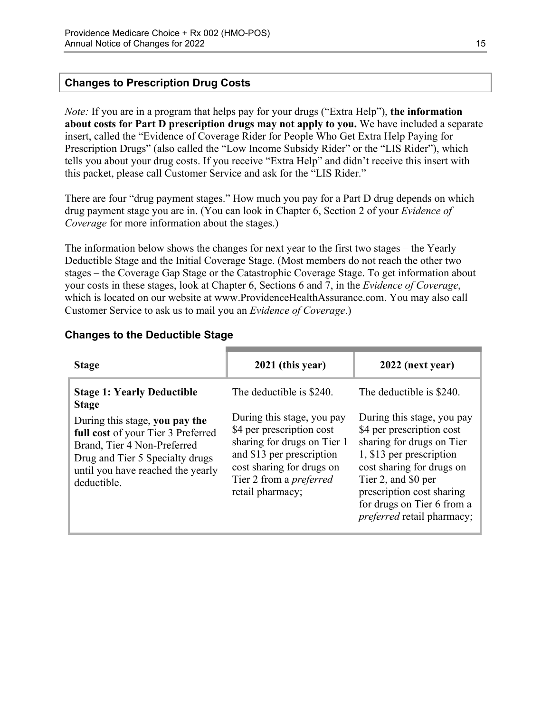#### **Changes to Prescription Drug Costs**

*Note:* If you are in a program that helps pay for your drugs ("Extra Help"), **the information about costs for Part D prescription drugs may not apply to you.** We have included a separate insert, called the "Evidence of Coverage Rider for People Who Get Extra Help Paying for Prescription Drugs" (also called the "Low Income Subsidy Rider" or the "LIS Rider"), which tells you about your drug costs. If you receive "Extra Help" and didn't receive this insert with this packet, please call Customer Service and ask for the "LIS Rider."

There are four "drug payment stages." How much you pay for a Part D drug depends on which drug payment stage you are in. (You can look in Chapter 6, Section 2 of your *Evidence of Coverage* for more information about the stages.)

The information below shows the changes for next year to the first two stages – the Yearly Deductible Stage and the Initial Coverage Stage. (Most members do not reach the other two stages – the Coverage Gap Stage or the Catastrophic Coverage Stage. To get information about your costs in these stages, look at Chapter 6, Sections 6 and 7, in the *Evidence of Coverage*, which is located on our website at [www.ProvidenceHealthAssurance.com.](http://www.ProvidenceHealthAssurance.com) You may also call Customer Service to ask us to mail you an *Evidence of Coverage*.)

| <b>Stage</b>                                                                                                                                                                               | 2021 (this year)                                                                                                                                                                                       | 2022 (next year)                                                                                                                                                                                                                                              |
|--------------------------------------------------------------------------------------------------------------------------------------------------------------------------------------------|--------------------------------------------------------------------------------------------------------------------------------------------------------------------------------------------------------|---------------------------------------------------------------------------------------------------------------------------------------------------------------------------------------------------------------------------------------------------------------|
| <b>Stage 1: Yearly Deductible</b><br><b>Stage</b>                                                                                                                                          | The deductible is \$240.                                                                                                                                                                               | The deductible is \$240.                                                                                                                                                                                                                                      |
| During this stage, you pay the<br>full cost of your Tier 3 Preferred<br>Brand, Tier 4 Non-Preferred<br>Drug and Tier 5 Specialty drugs<br>until you have reached the yearly<br>deductible. | During this stage, you pay<br>\$4 per prescription cost<br>sharing for drugs on Tier 1<br>and \$13 per prescription<br>cost sharing for drugs on<br>Tier 2 from a <i>preferred</i><br>retail pharmacy; | During this stage, you pay<br>\$4 per prescription cost<br>sharing for drugs on Tier<br>1, \$13 per prescription<br>cost sharing for drugs on<br>Tier 2, and \$0 per<br>prescription cost sharing<br>for drugs on Tier 6 from a<br>preferred retail pharmacy; |

#### **Changes to the Deductible Stage**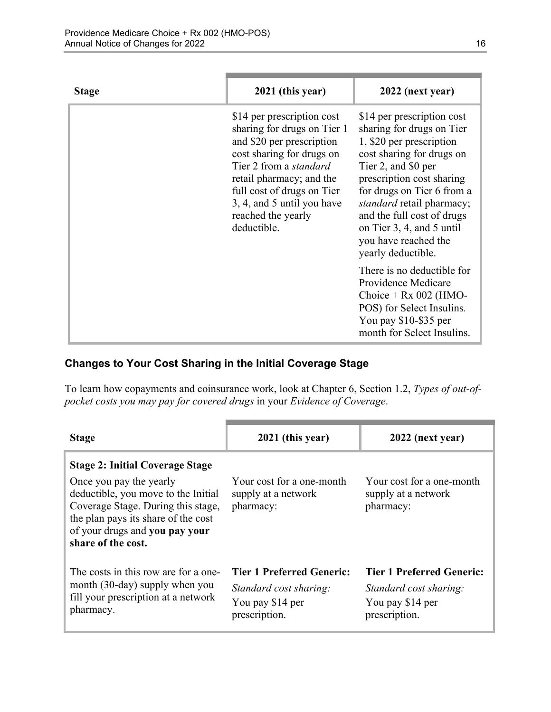| <b>Stage</b> | 2021 (this year)                                                                                                                                                                                                                                                                  | 2022 (next year)                                                                                                                                                                                                                                                                                                                                |
|--------------|-----------------------------------------------------------------------------------------------------------------------------------------------------------------------------------------------------------------------------------------------------------------------------------|-------------------------------------------------------------------------------------------------------------------------------------------------------------------------------------------------------------------------------------------------------------------------------------------------------------------------------------------------|
|              | \$14 per prescription cost<br>sharing for drugs on Tier 1<br>and \$20 per prescription<br>cost sharing for drugs on<br>Tier 2 from a <i>standard</i><br>retail pharmacy; and the<br>full cost of drugs on Tier<br>3, 4, and 5 until you have<br>reached the yearly<br>deductible. | \$14 per prescription cost<br>sharing for drugs on Tier<br>1, \$20 per prescription<br>cost sharing for drugs on<br>Tier 2, and \$0 per<br>prescription cost sharing<br>for drugs on Tier 6 from a<br><i>standard</i> retail pharmacy;<br>and the full cost of drugs<br>on Tier 3, 4, and 5 until<br>you have reached the<br>yearly deductible. |
|              |                                                                                                                                                                                                                                                                                   | There is no deductible for<br>Providence Medicare<br>Choice + $Rx$ 002 (HMO-<br>POS) for Select Insulins.<br>You pay \$10-\$35 per<br>month for Select Insulins.                                                                                                                                                                                |

### **Changes to Your Cost Sharing in the Initial Coverage Stage**

To learn how copayments and coinsurance work, look at Chapter 6, Section 1.2, *Types of out-ofpocket costs you may pay for covered drugs* in your *Evidence of Coverage*.

| <b>Stage</b>                                                                                                                                                                                                                                  | 2021 (this year)                                                                                | 2022 (next year)                                                                         |
|-----------------------------------------------------------------------------------------------------------------------------------------------------------------------------------------------------------------------------------------------|-------------------------------------------------------------------------------------------------|------------------------------------------------------------------------------------------|
| <b>Stage 2: Initial Coverage Stage</b><br>Once you pay the yearly<br>deductible, you move to the Initial<br>Coverage Stage. During this stage,<br>the plan pays its share of the cost<br>of your drugs and you pay your<br>share of the cost. | Your cost for a one-month<br>supply at a network<br>pharmacy:                                   | Your cost for a one-month<br>supply at a network<br>pharmacy:                            |
| The costs in this row are for a one-<br>month (30-day) supply when you<br>fill your prescription at a network<br>pharmacy.                                                                                                                    | <b>Tier 1 Preferred Generic:</b><br>Standard cost sharing:<br>You pay \$14 per<br>prescription. | Tier 1 Preferred Generic:<br>Standard cost sharing:<br>You pay \$14 per<br>prescription. |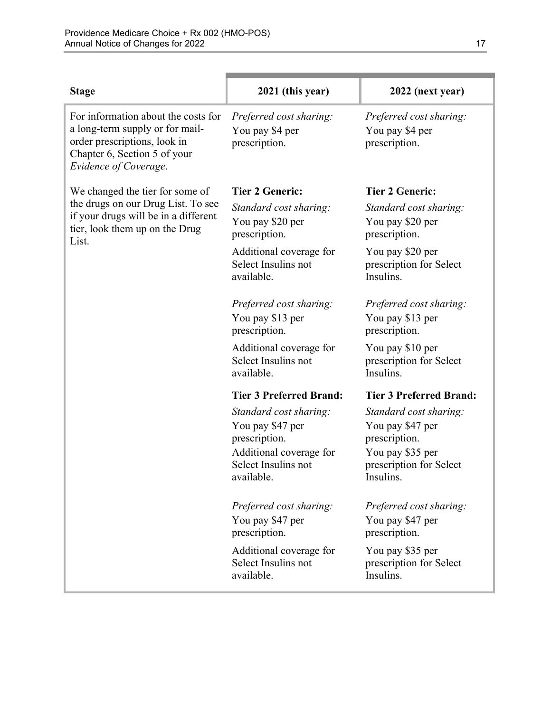| <b>Stage</b>                                                                                                                                                    | 2021 (this year)                                                                                                            | 2022 (next year)                                                                                                        |
|-----------------------------------------------------------------------------------------------------------------------------------------------------------------|-----------------------------------------------------------------------------------------------------------------------------|-------------------------------------------------------------------------------------------------------------------------|
| For information about the costs for<br>a long-term supply or for mail-<br>order prescriptions, look in<br>Chapter 6, Section 5 of your<br>Evidence of Coverage. | Preferred cost sharing:<br>You pay \$4 per<br>prescription.                                                                 | Preferred cost sharing:<br>You pay \$4 per<br>prescription.                                                             |
| We changed the tier for some of                                                                                                                                 | <b>Tier 2 Generic:</b>                                                                                                      | <b>Tier 2 Generic:</b>                                                                                                  |
| the drugs on our Drug List. To see<br>if your drugs will be in a different<br>tier, look them up on the Drug<br>List.                                           | Standard cost sharing:<br>You pay \$20 per<br>prescription.                                                                 | Standard cost sharing:<br>You pay \$20 per<br>prescription.                                                             |
|                                                                                                                                                                 | Additional coverage for<br>Select Insulins not<br>available.                                                                | You pay \$20 per<br>prescription for Select<br>Insulins.                                                                |
|                                                                                                                                                                 | Preferred cost sharing:<br>You pay \$13 per<br>prescription.                                                                | Preferred cost sharing:<br>You pay \$13 per<br>prescription.                                                            |
|                                                                                                                                                                 | Additional coverage for<br>Select Insulins not<br>available.                                                                | You pay \$10 per<br>prescription for Select<br>Insulins.                                                                |
|                                                                                                                                                                 | <b>Tier 3 Preferred Brand:</b>                                                                                              | <b>Tier 3 Preferred Brand:</b>                                                                                          |
|                                                                                                                                                                 | Standard cost sharing:<br>You pay \$47 per<br>prescription.<br>Additional coverage for<br>Select Insulins not<br>available. | Standard cost sharing:<br>You pay \$47 per<br>prescription.<br>You pay \$35 per<br>prescription for Select<br>Insulins. |
|                                                                                                                                                                 | Preferred cost sharing:<br>You pay \$47 per                                                                                 | Preferred cost sharing:<br>You pay \$47 per                                                                             |
|                                                                                                                                                                 | prescription.<br>Additional coverage for<br>Select Insulins not<br>available.                                               | prescription.<br>You pay \$35 per<br>prescription for Select<br>Insulins.                                               |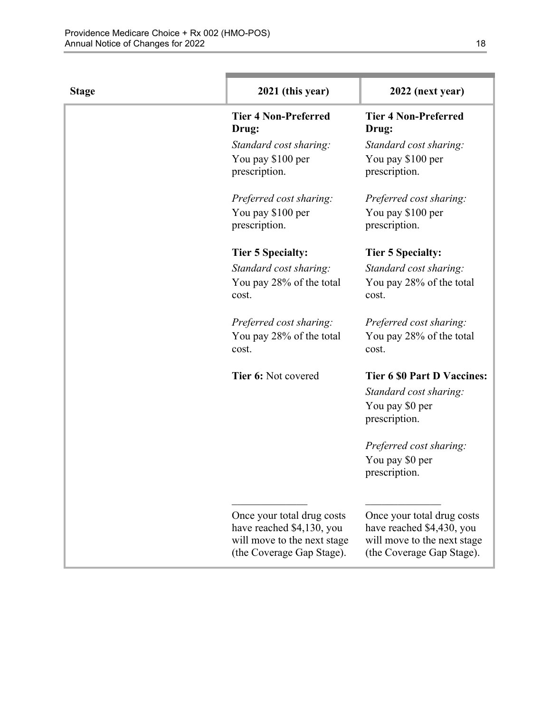| <b>Stage</b> | 2021 (this year)                                        | 2022 (next year)                                        |
|--------------|---------------------------------------------------------|---------------------------------------------------------|
|              | <b>Tier 4 Non-Preferred</b><br>Drug:                    | <b>Tier 4 Non-Preferred</b><br>Drug:                    |
|              | Standard cost sharing:                                  | Standard cost sharing:                                  |
|              | You pay \$100 per<br>prescription.                      | You pay \$100 per<br>prescription.                      |
|              | Preferred cost sharing:                                 | Preferred cost sharing:                                 |
|              | You pay \$100 per<br>prescription.                      | You pay \$100 per<br>prescription.                      |
|              | <b>Tier 5 Specialty:</b>                                | <b>Tier 5 Specialty:</b>                                |
|              | Standard cost sharing:                                  | Standard cost sharing:                                  |
|              | You pay 28% of the total<br>cost.                       | You pay 28% of the total<br>cost.                       |
|              | Preferred cost sharing:                                 | Preferred cost sharing:                                 |
|              | You pay 28% of the total<br>cost.                       | You pay 28% of the total<br>cost.                       |
|              | Tier 6: Not covered                                     | <b>Tier 6 \$0 Part D Vaccines:</b>                      |
|              |                                                         | Standard cost sharing:                                  |
|              |                                                         | You pay \$0 per<br>prescription.                        |
|              |                                                         | Preferred cost sharing:                                 |
|              |                                                         | You pay \$0 per<br>prescription.                        |
|              |                                                         |                                                         |
|              | Once your total drug costs<br>have reached \$4,130, you | Once your total drug costs<br>have reached \$4,430, you |
|              | will move to the next stage                             | will move to the next stage                             |
|              | (the Coverage Gap Stage).                               | (the Coverage Gap Stage).                               |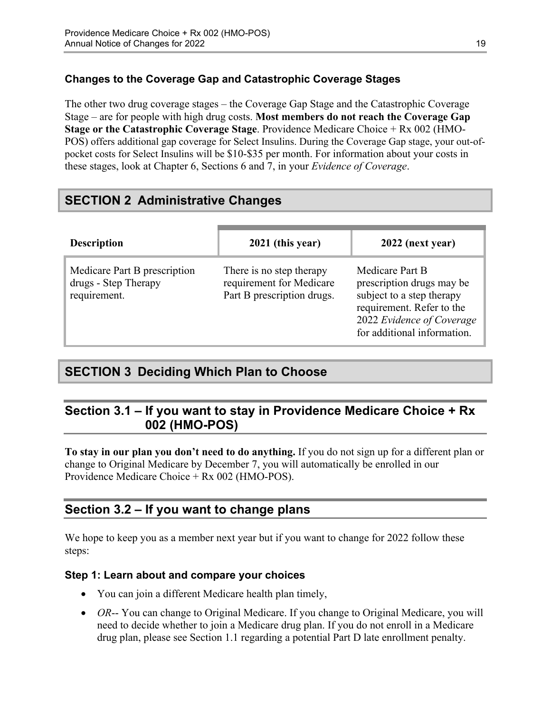### **Changes to the Coverage Gap and Catastrophic Coverage Stages**

The other two drug coverage stages – the Coverage Gap Stage and the Catastrophic Coverage Stage – are for people with high drug costs. **Most members do not reach the Coverage Gap Stage or the Catastrophic Coverage Stage**. Providence Medicare Choice + Rx 002 (HMO-POS) offers additional gap coverage for Select Insulins. During the Coverage Gap stage, your out-ofpocket costs for Select Insulins will be \$10-\$35 per month. For information about your costs in these stages, look at Chapter 6, Sections 6 and 7, in your *Evidence of Coverage*.

# <span id="page-21-0"></span>**SECTION 2 Administrative Changes**

| <b>Description</b>                                                   | 2021 (this year)                                                                   | 2022 (next year)                                                                                                                                                   |
|----------------------------------------------------------------------|------------------------------------------------------------------------------------|--------------------------------------------------------------------------------------------------------------------------------------------------------------------|
| Medicare Part B prescription<br>drugs - Step Therapy<br>requirement. | There is no step therapy<br>requirement for Medicare<br>Part B prescription drugs. | Medicare Part B<br>prescription drugs may be<br>subject to a step therapy<br>requirement. Refer to the<br>2022 Evidence of Coverage<br>for additional information. |

# <span id="page-21-1"></span>**SECTION 3 Deciding Which Plan to Choose**

### <span id="page-21-2"></span>**Section 3.1 – If you want to stay in Providence Medicare Choice + Rx 002 (HMO-POS)**

**To stay in our plan you don't need to do anything.** If you do not sign up for a different plan or change to Original Medicare by December 7, you will automatically be enrolled in our Providence Medicare Choice + Rx 002 (HMO-POS).

### <span id="page-21-3"></span>**Section 3.2 – If you want to change plans**

We hope to keep you as a member next year but if you want to change for 2022 follow these steps:

### **Step 1: Learn about and compare your choices**

- You can join a different Medicare health plan timely,
- *OR*-- You can change to Original Medicare. If you change to Original Medicare, you will need to decide whether to join a Medicare drug plan. If you do not enroll in a Medicare drug plan, please see Section 1.1 regarding a potential Part D late enrollment penalty.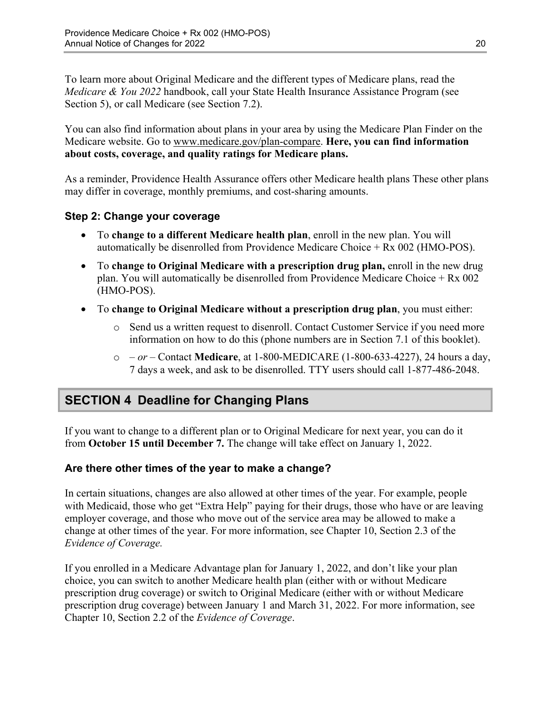To learn more about Original Medicare and the different types of Medicare plans, read the *Medicare & You 2022* handbook, call your State Health Insurance Assistance Program (see Section 5), or call Medicare (see Section 7.2).

You can also find information about plans in your area by using the Medicare Plan Finder on the Medicare website. Go to [www.medicare.gov/plan-compare](http://www.medicare.gov/plan-compare). **Here, you can find information about costs, coverage, and quality ratings for Medicare plans.** 

As a reminder, Providence Health Assurance offers other Medicare health plans These other plans may differ in coverage, monthly premiums, and cost-sharing amounts.

### **Step 2: Change your coverage**

- To **change to a different Medicare health plan**, enroll in the new plan. You will automatically be disenrolled from Providence Medicare Choice + Rx 002 (HMO-POS).
- To **change to Original Medicare with a prescription drug plan,** enroll in the new drug plan. You will automatically be disenrolled from Providence Medicare Choice + Rx 002 (HMO-POS).
- To **change to Original Medicare without a prescription drug plan**, you must either:
	- $\circ$  Send us a written request to disenroll. Contact Customer Service if you need more information on how to do this (phone numbers are in Section 7.1 of this booklet).
	- o  *or –* Contact **Medicare**, at 1-800-MEDICARE (1-800-633-4227), 24 hours a day, 7 days a week, and ask to be disenrolled. TTY users should call 1-877-486-2048.

# <span id="page-22-0"></span>**SECTION 4 Deadline for Changing Plans**

If you want to change to a different plan or to Original Medicare for next year, you can do it from **October 15 until December 7.** The change will take effect on January 1, 2022.

### **Are there other times of the year to make a change?**

In certain situations, changes are also allowed at other times of the year. For example, people with Medicaid, those who get "Extra Help" paying for their drugs, those who have or are leaving employer coverage, and those who move out of the service area may be allowed to make a change at other times of the year. For more information, see Chapter 10, Section 2.3 of the *Evidence of Coverage.* 

 Chapter 10, Section 2.2 of the *Evidence of Coverage*. If you enrolled in a Medicare Advantage plan for January 1, 2022, and don't like your plan choice, you can switch to another Medicare health plan (either with or without Medicare prescription drug coverage) or switch to Original Medicare (either with or without Medicare prescription drug coverage) between January 1 and March 31, 2022. For more information, see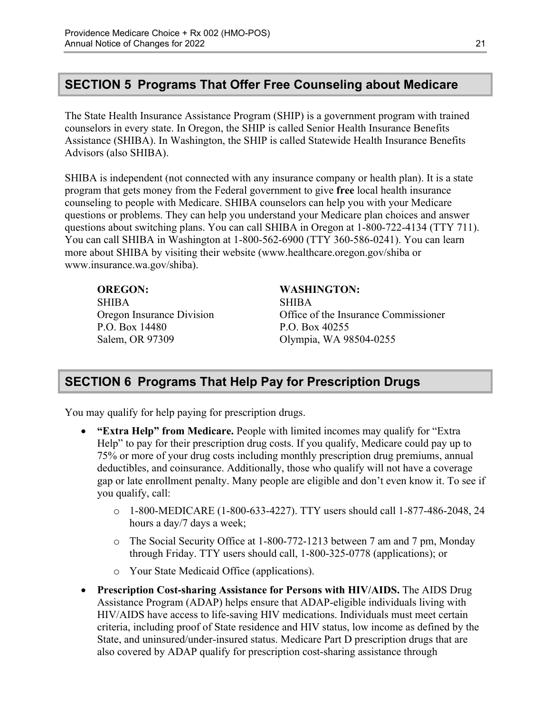# <span id="page-23-0"></span>**SECTION 5 Programs That Offer Free Counseling about Medicare**

The State Health Insurance Assistance Program (SHIP) is a government program with trained counselors in every state. In Oregon, the SHIP is called Senior Health Insurance Benefits Assistance (SHIBA). In Washington, the SHIP is called Statewide Health Insurance Benefits Advisors (also SHIBA).

 SHIBA is independent (not connected with any insurance company or health plan). It is a state program that gets money from the Federal government to give **free** local health insurance counseling to people with Medicare. SHIBA counselors can help you with your Medicare questions or problems. They can help you understand your Medicare plan choices and answer questions about switching plans. You can call SHIBA in Oregon at 1-800-722-4134 (TTY 711). You can call SHIBA in Washington at 1-800-562-6900 (TTY 360-586-0241). You can learn more about SHIBA by visiting their website ([www.healthcare.oregon.gov/shiba](http://healthcare.oregon.gov/shiba) or [www.insurance.wa.gov/shiba\)](http://www.insurance.wa.gov/shiba).

**OREGON: WASHINGTON:**  SHIBA SHIBA P.O. Box 14480 P.O. Box 40255

Oregon Insurance Division Office of the Insurance Commissioner Salem, OR 97309 Olympia, WA 98504-0255

# <span id="page-23-1"></span>**SECTION 6 Programs That Help Pay for Prescription Drugs**

You may qualify for help paying for prescription drugs.

- **"Extra Help" from Medicare.** People with limited incomes may qualify for "Extra Help" to pay for their prescription drug costs. If you qualify, Medicare could pay up to 75% or more of your drug costs including monthly prescription drug premiums, annual deductibles, and coinsurance. Additionally, those who qualify will not have a coverage gap or late enrollment penalty. Many people are eligible and don't even know it. To see if you qualify, call:
	- $\circ$  1-800-MEDICARE (1-800-633-4227). TTY users should call 1-877-486-2048, 24 hours a day/7 days a week;
	- $\circ$  The Social Security Office at 1-800-772-1213 between 7 am and 7 pm, Monday through Friday. TTY users should call, 1-800-325-0778 (applications); or
	- o Your State Medicaid Office (applications).
- **Prescription Cost-sharing Assistance for Persons with HIV/AIDS.** The AIDS Drug Assistance Program (ADAP) helps ensure that ADAP-eligible individuals living with HIV/AIDS have access to life-saving HIV medications. Individuals must meet certain criteria, including proof of State residence and HIV status, low income as defined by the State, and uninsured/under-insured status. Medicare Part D prescription drugs that are also covered by ADAP qualify for prescription cost-sharing assistance through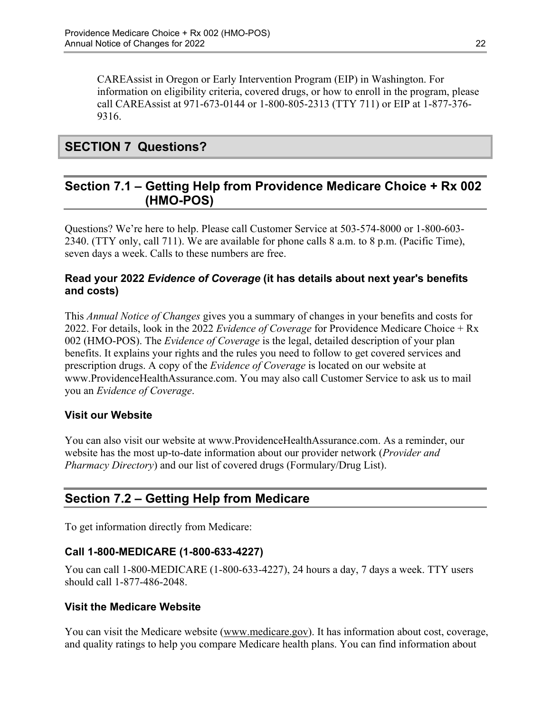CAREAssist in Oregon or Early Intervention Program (EIP) in Washington. For information on eligibility criteria, covered drugs, or how to enroll in the program, please call CAREAssist at 971-673-0144 or 1-800-805-2313 (TTY 711) or EIP at 1-877-376 9316.

# <span id="page-24-0"></span>**SECTION 7 Questions?**

### <span id="page-24-1"></span>**Section 7.1 – Getting Help from Providence Medicare Choice + Rx 002 (HMO-POS)**

Questions? We're here to help. Please call Customer Service at 503-574-8000 or 1-800-603 2340. (TTY only, call 711). We are available for phone calls 8 a.m. to 8 p.m. (Pacific Time), seven days a week. Calls to these numbers are free.

#### **Read your 2022** *Evidence of Coverage* **(it has details about next year's benefits and costs)**

This *Annual Notice of Changes* gives you a summary of changes in your benefits and costs for 2022. For details, look in the 2022 *Evidence of Coverage* for Providence Medicare Choice + Rx 002 (HMO-POS). The *Evidence of Coverage* is the legal, detailed description of your plan benefits. It explains your rights and the rules you need to follow to get covered services and prescription drugs. A copy of the *Evidence of Coverage* is located on our website at [www.ProvidenceHealthAssurance.com.](http://www.ProvidenceHealthAssurance.com) You may also call Customer Service to ask us to mail you an *Evidence of Coverage*.

### **Visit our Website**

You can also visit our website at [www.ProvidenceHealthAssurance.com](http://www.ProvidenceHealthAssurance.com). As a reminder, our website has the most up-to-date information about our provider network (*Provider and Pharmacy Directory*) and our list of covered drugs (Formulary/Drug List).

# <span id="page-24-2"></span>**Section 7.2 – Getting Help from Medicare**

To get information directly from Medicare:

#### **Call 1-800-MEDICARE (1-800-633-4227)**

You can call 1-800-MEDICARE (1-800-633-4227), 24 hours a day, 7 days a week. TTY users should call 1-877-486-2048.

#### **Visit the Medicare Website**

You can visit the Medicare website ([www.medicare.gov\)](http://www.medicare.gov/). It has information about cost, coverage, and quality ratings to help you compare Medicare health plans. You can find information about